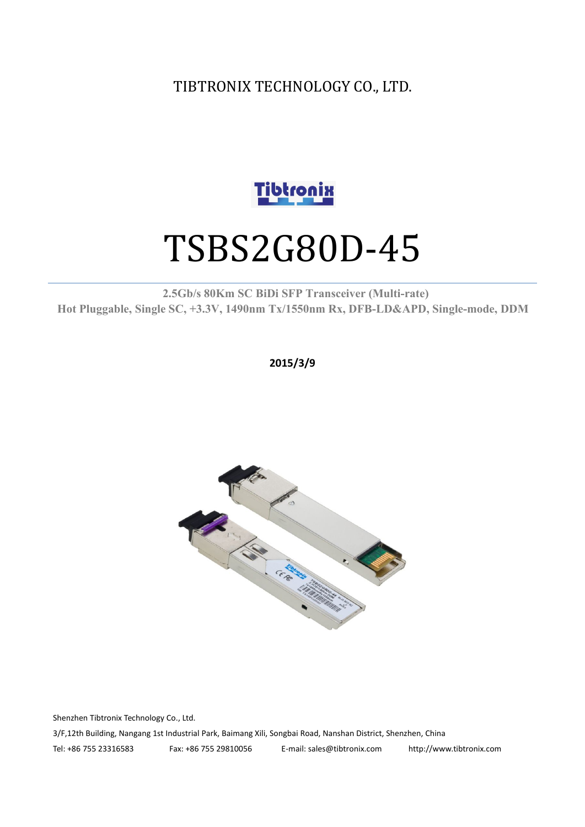TIBTRONIX TECHNOLOGY CO., LTD.



# TSBS2G80D-45

**2.5Gb/s 80Km SC BiDi SFP Transceiver (Multi-rate) Hot Pluggable, Single SC, +3.3V, 1490nm Tx/1550nm Rx, DFB-LD&APD, Single-mode, DDM**

**2015/3/9**



Shenzhen Tibtronix Technology Co., Ltd. 3/F,12th Building, Nangang 1st Industrial Park, Baimang Xili, Songbai Road, Nanshan District, Shenzhen, China Tel: +86 755 23316583 Fax: +86 755 29810056 E-mail: sales@tibtronix.com http://www.tibtronix.com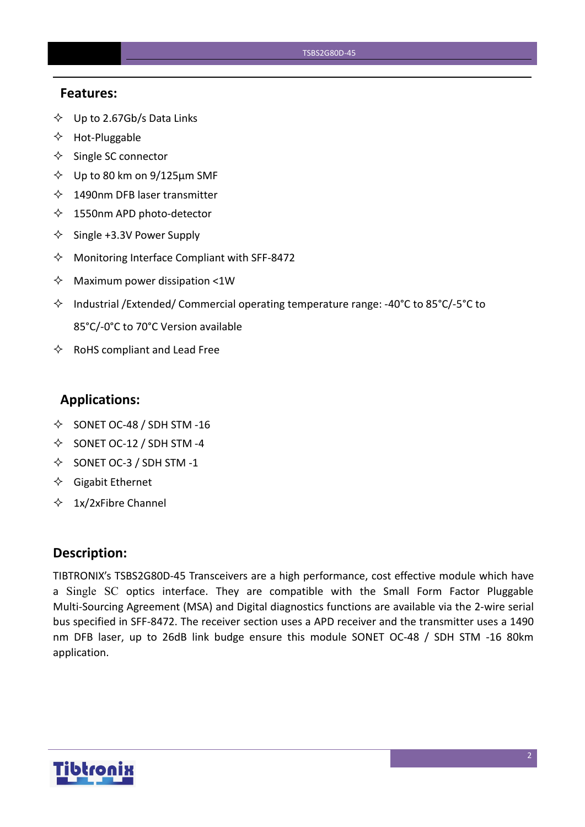#### **Features:**

- $\diamondsuit$  Up to 2.67Gb/s Data Links
- $\Leftrightarrow$  Hot-Pluggable
- $\Leftrightarrow$  Single SC connector
- $\diamond$  Up to 80 km on 9/125 µm SMF
- $\lozenge$  1490nm DFB laser transmitter
- $\lozenge$  1550nm APD photo-detector
- $\diamond$  Single +3.3V Power Supply
- $\Diamond$  Monitoring Interface Compliant with SFF-8472
- $\Diamond$  Maximum power dissipation <1W
- Industrial /Extended/ Commercial operating temperature range: -40°C to 85°C/-5°C to 85°C/-0°C to 70°C Version available
- $\Leftrightarrow$  RoHS compliant and Lead Free

#### **Applications:**

- $\diamond$  SONET OC-48 / SDH STM -16
- $\diamond$  SONET OC-12 / SDH STM -4
- $\diamond$  SONET OC-3 / SDH STM -1
- $\Diamond$  Gigabit Ethernet
- $\div$  1x/2xFibre Channel

#### **Description:**

TIBTRONIX's TSBS2G80D-45 Transceivers are a high performance, cost effective module which have a Single SC optics interface. They are compatible with the Small Form Factor Pluggable Multi-Sourcing Agreement (MSA) and Digital diagnostics functions are available via the 2-wire serial bus specified in SFF-8472. The receiver section uses a APD receiver and the transmitter uses a 1490 nm DFB laser, up to 26dB link budge ensure this module SONET OC-48 / SDH STM -16 80km application.

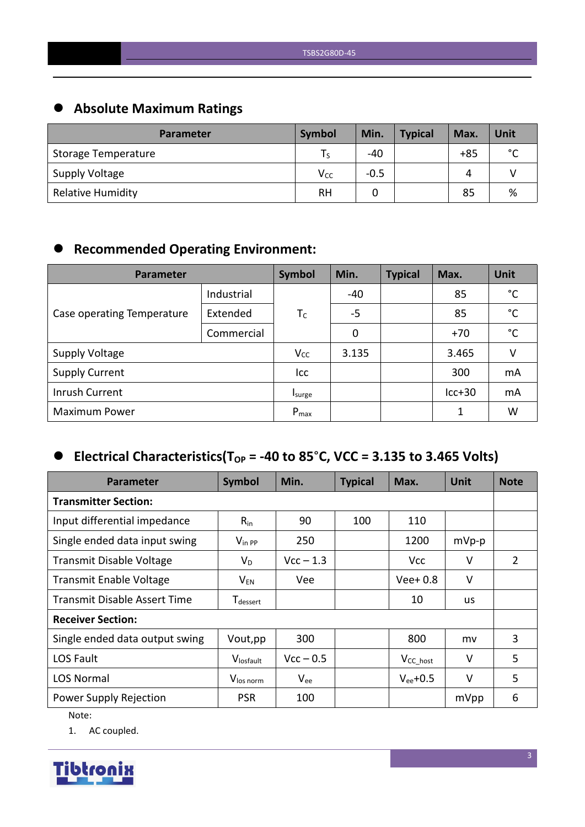# **Absolute Maximum Ratings**

| <b>Parameter</b>         | <b>Symbol</b>   | Min.   | <b>Typical</b> | Max.  | Unit        |
|--------------------------|-----------------|--------|----------------|-------|-------------|
| Storage Temperature      |                 | $-40$  |                | $+85$ | $\sim$<br>◡ |
| <b>Supply Voltage</b>    | V <sub>cc</sub> | $-0.5$ |                | Δ     |             |
| <b>Relative Humidity</b> | <b>RH</b>       |        |                | 85    | %           |

# **Recommended Operating Environment:**

| Parameter                  | Symbol     | Min.      | <b>Typical</b> | Max. | <b>Unit</b> |              |
|----------------------------|------------|-----------|----------------|------|-------------|--------------|
|                            | Industrial |           | $-40$          |      | 85          | $^{\circ}$ C |
| Case operating Temperature | Extended   | $T_C$     | $-5$           |      | 85          | $^{\circ}$ C |
|                            | Commercial |           | 0              |      | $+70$       | $^{\circ}$ C |
| <b>Supply Voltage</b>      |            | $V_{CC}$  | 3.135          |      | 3.465       | V            |
| <b>Supply Current</b>      |            | Icc       |                |      | 300         | mA           |
| Inrush Current             |            | Isurge    |                |      | $lcc+30$    | mA           |
| <b>Maximum Power</b>       |            | $P_{max}$ |                |      | 1           | W            |

# $\bullet$  Electrical Characteristics(T<sub>OP</sub> = -40 to 85°C, VCC = 3.135 to 3.465 Volts)

| <b>Parameter</b>                    | Symbol                      | Min.        | <b>Typical</b> | Max.           | <b>Unit</b> | <b>Note</b> |
|-------------------------------------|-----------------------------|-------------|----------------|----------------|-------------|-------------|
| <b>Transmitter Section:</b>         |                             |             |                |                |             |             |
| Input differential impedance        | $R_{in}$                    | 90          | 100            | 110            |             |             |
| Single ended data input swing       | $V_{\text{in PP}}$          | 250         |                | 1200           | $mVp-p$     |             |
| <b>Transmit Disable Voltage</b>     | $V_D$                       | $Vcc - 1.3$ |                | <b>Vcc</b>     | V           | 2           |
| <b>Transmit Enable Voltage</b>      | $V_{EN}$                    | Vee         |                | $Vee+0.8$      | $\vee$      |             |
| <b>Transmit Disable Assert Time</b> | <b>T</b> <sub>dessert</sub> |             |                | 10             | us          |             |
| <b>Receiver Section:</b>            |                             |             |                |                |             |             |
| Single ended data output swing      | Vout, pp                    | 300         |                | 800            | mv          | 3           |
| LOS Fault                           | Vlosfault                   | $Vcc - 0.5$ |                | $V_{CC\_host}$ | $\vee$      | 5           |
| <b>LOS Normal</b>                   | V <sub>los norm</sub>       | $V_{ee}$    |                | $V_{ee}$ +0.5  | $\vee$      | 5           |
| Power Supply Rejection              | <b>PSR</b>                  | 100         |                |                | mVpp        | 6           |

Note:

1. AC coupled.

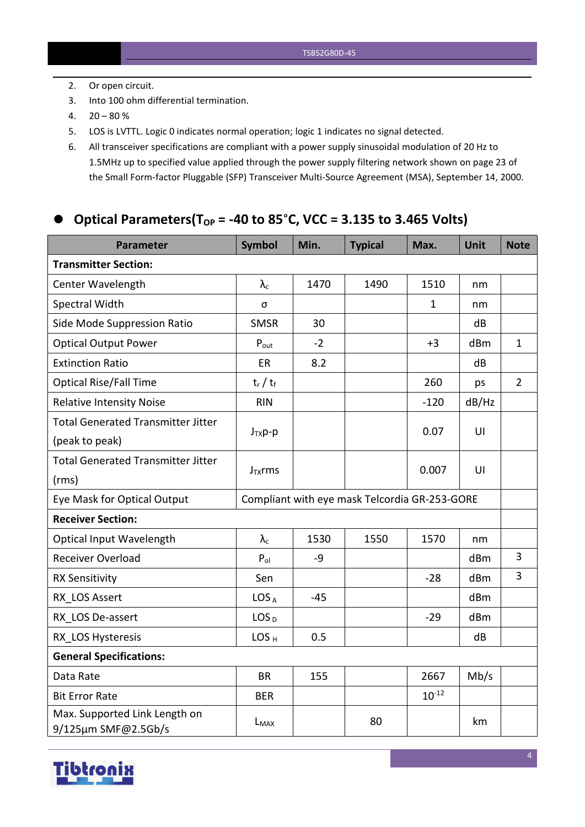- 2. Or open circuit.
- 3. Into 100 ohm differential termination.
- $4. \quad 20 80 \%$
- 5. LOS is LVTTL. Logic 0 indicates normal operation; logic 1 indicates no signal detected.
- 6. All transceiver specifications are compliant with a power supply sinusoidal modulation of 20 Hz to 1.5MHz up to specified value applied through the powersupply filtering network shown on page 23 of the Small Form-factor Pluggable (SFP) Transceiver Multi-Source Agreement (MSA), September 14, 2000.

#### **Optical Parameters(TOP = -40 to 85**°**C, VCC = 3.135 to 3.465 Volts)**

| <b>Parameter</b>                                     | <b>Symbol</b>                                 | Min.  | <b>Typical</b> | Max.         | Unit  | <b>Note</b>    |
|------------------------------------------------------|-----------------------------------------------|-------|----------------|--------------|-------|----------------|
| <b>Transmitter Section:</b>                          |                                               |       |                |              |       |                |
| Center Wavelength                                    | $\lambda_{\rm c}$                             | 1470  | 1490           | 1510         | nm    |                |
| Spectral Width                                       | σ                                             |       |                | $\mathbf{1}$ | nm    |                |
| Side Mode Suppression Ratio                          | <b>SMSR</b>                                   | 30    |                |              | dB    |                |
| <b>Optical Output Power</b>                          | $P_{\text{out}}$                              | $-2$  |                | $+3$         | dBm   | $\mathbf{1}$   |
| <b>Extinction Ratio</b>                              | ER                                            | 8.2   |                |              | dB    |                |
| <b>Optical Rise/Fall Time</b>                        | $t_r / t_f$                                   |       |                | 260          | ps    | $\overline{2}$ |
| <b>Relative Intensity Noise</b>                      | <b>RIN</b>                                    |       |                | $-120$       | dB/Hz |                |
| <b>Total Generated Transmitter Jitter</b>            |                                               |       |                |              | U     |                |
| (peak to peak)                                       | $J_{TX}p-p$                                   |       |                | 0.07         |       |                |
| <b>Total Generated Transmitter Jitter</b>            |                                               |       |                | 0.007        | U     |                |
| (rms)                                                | $J_{TX}$ rms                                  |       |                |              |       |                |
| Eye Mask for Optical Output                          | Compliant with eye mask Telcordia GR-253-GORE |       |                |              |       |                |
| <b>Receiver Section:</b>                             |                                               |       |                |              |       |                |
| Optical Input Wavelength                             | $\lambda_c$                                   | 1530  | 1550           | 1570         | nm    |                |
| Receiver Overload                                    | $P_{ol}$                                      | $-9$  |                |              | dBm   | $\overline{3}$ |
| <b>RX Sensitivity</b>                                | Sen                                           |       |                | $-28$        | dBm   | 3              |
| RX LOS Assert                                        | LOS <sub>A</sub>                              | $-45$ |                |              | dBm   |                |
| RX LOS De-assert                                     | LOS <sub>D</sub>                              |       |                | $-29$        | dBm   |                |
| RX LOS Hysteresis                                    | LOS <sub>H</sub>                              | 0.5   |                |              | dB    |                |
| <b>General Specifications:</b>                       |                                               |       |                |              |       |                |
| Data Rate                                            | <b>BR</b>                                     | 155   |                | 2667         | Mb/s  |                |
| <b>Bit Error Rate</b>                                | <b>BER</b>                                    |       |                | $10^{-12}$   |       |                |
| Max. Supported Link Length on<br>9/125µm SMF@2.5Gb/s | L <sub>MAX</sub>                              |       | 80             |              | km    |                |

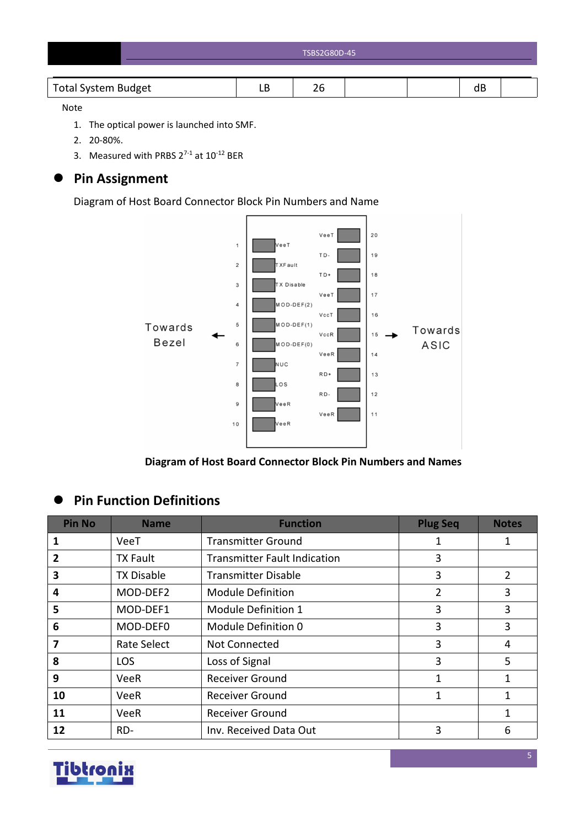| TSBS2G80D-45 |
|--------------|
|              |

#### Note

- 1. The optical power is launched into SMF.
- 2. 20-80%.
- 3. Measured with PRBS  $2^{7-1}$  at  $10^{-12}$  BER

# **Pin Assignment**

Diagram of Host Board Connector Block Pin Numbers and Name



**Diagram of Host Board Connector Block Pin Numbers and Names**

# **Pin Function Definitions**

| <b>Pin No</b>  | <b>Name</b>       | <b>Function</b>                     | <b>Plug Seq</b> | <b>Notes</b>  |
|----------------|-------------------|-------------------------------------|-----------------|---------------|
|                | VeeT              | <b>Transmitter Ground</b>           |                 |               |
| $\overline{2}$ | <b>TX Fault</b>   | <b>Transmitter Fault Indication</b> | 3               |               |
| 3              | <b>TX Disable</b> | <b>Transmitter Disable</b>          | 3               | $\mathcal{P}$ |
| 4              | MOD-DEF2          | <b>Module Definition</b>            |                 | 3             |
| 5              | MOD-DEF1          | Module Definition 1                 | 3               | 3             |
| 6              | MOD-DEF0          | Module Definition 0                 | 3               | 3             |
| 7              | Rate Select       | Not Connected                       | 3               | 4             |
| 8              | <b>LOS</b>        | Loss of Signal                      | 3               | 5             |
| 9              | <b>VeeR</b>       | <b>Receiver Ground</b>              |                 | 1             |
| 10             | <b>VeeR</b>       | <b>Receiver Ground</b>              | 1               | 1             |
| 11             | <b>VeeR</b>       | <b>Receiver Ground</b>              |                 |               |
| 12             | RD-               | Inv. Received Data Out              | 3               | 6             |

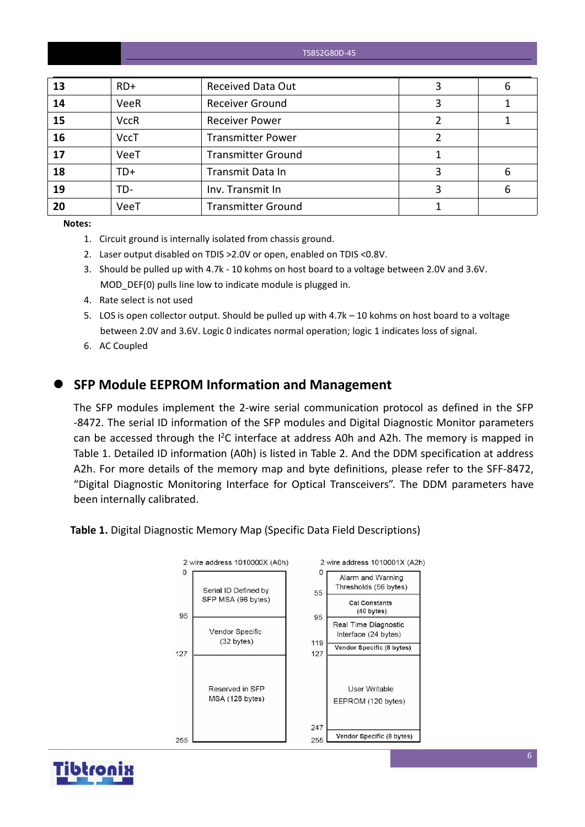TSBS2G80D-45

| 13 | $RD+$       | <b>Received Data Out</b>  | b |
|----|-------------|---------------------------|---|
| 14 | <b>VeeR</b> | <b>Receiver Ground</b>    |   |
| 15 | <b>VccR</b> | <b>Receiver Power</b>     |   |
| 16 | <b>VccT</b> | <b>Transmitter Power</b>  |   |
| 17 | VeeT        | <b>Transmitter Ground</b> |   |
| 18 | $TD+$       | Transmit Data In          | 6 |
| 19 | TD-         | Inv. Transmit In          | 6 |
| 20 | VeeT        | <b>Transmitter Ground</b> |   |
|    |             |                           |   |

**Notes:**

- 1. Circuit ground is internally isolated from chassis ground.
- 2. Laser output disabled on TDIS >2.0V or open, enabled on TDIS <0.8V.
- 3. Should be pulled up with 4.7k 10 kohms on host board to a voltage between 2.0V and 3.6V. MOD DEF(0) pulls line low to indicate module is plugged in.
- 4. Rate select is not used
- 5. LOS is open collector output. Should be pulled up with 4.7k 10 kohms on host board to a voltage between 2.0V and 3.6V. Logic 0 indicates normal operation; logic 1 indicates loss of signal.
- 6. AC Coupled

#### **SFP Module EEPROM Information and Management**

The SFP modules implement the 2-wire serial communication protocol as defined in the SFP -8472. The serial ID information of the SFP modules and Digital Diagnostic Monitor parameters can be accessed through the  $I^2C$  interface at address A0h and A2h. The memory is mapped in Table 1. Detailed ID information (A0h) is listed in Table 2. And the DDM specification at address A2h. For more details of the memory map and byte definitions, please refer to the SFF-8472, "Digital Diagnostic Monitoring Interface for Optical Transceivers". The DDM parameters have been internally calibrated.

**Table 1.** Digital Diagnostic Memory Map (Specific Data Field Descriptions)



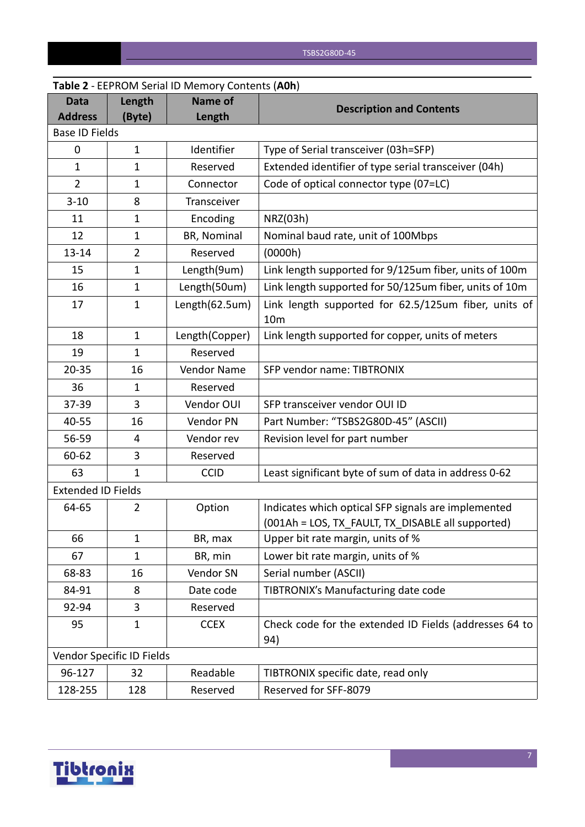|                               |                           | <b>Table 2</b> - LEPNONI SCHALID INCHIOLY COILCHLS (AUIT) |                                                                                                          |
|-------------------------------|---------------------------|-----------------------------------------------------------|----------------------------------------------------------------------------------------------------------|
| <b>Data</b><br><b>Address</b> | Length<br>(Byte)          | <b>Name of</b><br>Length                                  | <b>Description and Contents</b>                                                                          |
| <b>Base ID Fields</b>         |                           |                                                           |                                                                                                          |
| $\mathbf 0$                   | $\mathbf{1}$              | Identifier                                                | Type of Serial transceiver (03h=SFP)                                                                     |
| $\mathbf{1}$                  | $\mathbf 1$               | Reserved                                                  | Extended identifier of type serial transceiver (04h)                                                     |
| $\overline{2}$                | $\mathbf{1}$              | Connector                                                 | Code of optical connector type (07=LC)                                                                   |
| $3 - 10$                      | 8                         | Transceiver                                               |                                                                                                          |
| 11                            | 1                         | Encoding                                                  | NRZ(03h)                                                                                                 |
| 12                            | 1                         | BR, Nominal                                               | Nominal baud rate, unit of 100Mbps                                                                       |
| $13 - 14$                     | $\overline{2}$            | Reserved                                                  | (0000h)                                                                                                  |
| 15                            | $\mathbf{1}$              | Length(9um)                                               | Link length supported for 9/125um fiber, units of 100m                                                   |
| 16                            | $\mathbf{1}$              | Length(50um)                                              | Link length supported for 50/125um fiber, units of 10m                                                   |
| 17                            | $\mathbf{1}$              | Length(62.5um)                                            | Link length supported for 62.5/125um fiber, units of<br>10 <sub>m</sub>                                  |
| 18                            | $\mathbf{1}$              | Length(Copper)                                            | Link length supported for copper, units of meters                                                        |
| 19                            | $\mathbf{1}$              | Reserved                                                  |                                                                                                          |
| $20 - 35$                     | 16                        | Vendor Name                                               | SFP vendor name: TIBTRONIX                                                                               |
| 36                            | 1                         | Reserved                                                  |                                                                                                          |
| 37-39                         | 3                         | Vendor OUI                                                | SFP transceiver vendor OUI ID                                                                            |
| 40-55                         | 16                        | Vendor PN                                                 | Part Number: "TSBS2G80D-45" (ASCII)                                                                      |
| 56-59                         | 4                         | Vendor rev                                                | Revision level for part number                                                                           |
| 60-62                         | 3                         | Reserved                                                  |                                                                                                          |
| 63                            | $\mathbf{1}$              | <b>CCID</b>                                               | Least significant byte of sum of data in address 0-62                                                    |
| <b>Extended ID Fields</b>     |                           |                                                           |                                                                                                          |
| 64-65                         | 2                         | Option                                                    | Indicates which optical SFP signals are implemented<br>(001Ah = LOS, TX_FAULT, TX_DISABLE all supported) |
| 66                            | $\mathbf{1}$              | BR, max                                                   | Upper bit rate margin, units of %                                                                        |
| 67                            | $\mathbf{1}$              | BR, min                                                   | Lower bit rate margin, units of %                                                                        |
| 68-83                         | 16                        | Vendor SN                                                 | Serial number (ASCII)                                                                                    |
| 84-91                         | 8                         | Date code                                                 | TIBTRONIX's Manufacturing date code                                                                      |
| 92-94                         | 3                         | Reserved                                                  |                                                                                                          |
| 95                            | $\mathbf{1}$              | <b>CCEX</b>                                               | Check code for the extended ID Fields (addresses 64 to<br>94)                                            |
|                               | Vendor Specific ID Fields |                                                           |                                                                                                          |
| 96-127                        | 32                        | Readable                                                  | TIBTRONIX specific date, read only                                                                       |
| 128-255                       | 128                       | Reserved                                                  | Reserved for SFF-8079                                                                                    |

# **Table 2** - EEPROM Serial ID Memory Contents (**A0h**)

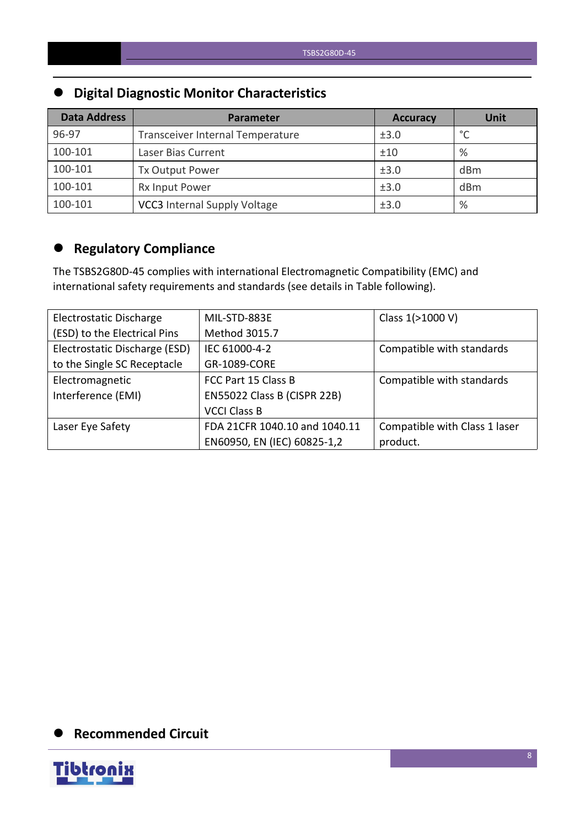# **Digital Diagnostic Monitor Characteristics**

| <b>Data Address</b> | Parameter                           | <b>Accuracy</b> | <b>Unit</b> |
|---------------------|-------------------------------------|-----------------|-------------|
| 96-97               | Transceiver Internal Temperature    | ±3.0            | $\sim$      |
| 100-101             | Laser Bias Current                  | ±10             | $\%$        |
| 100-101             | Tx Output Power                     | ±3.0            | dBm         |
| 100-101             | Rx Input Power                      | ±3.0            | dBm         |
| 100-101             | <b>VCC3</b> Internal Supply Voltage | ±3.0            | %           |

# **Regulatory Compliance**

The TSBS2G80D-45 complies with international Electromagnetic Compatibility (EMC) and international safety requirements and standards (see details in Table following).

| Electrostatic Discharge       | MIL-STD-883E                  | Class 1(>1000 V)              |
|-------------------------------|-------------------------------|-------------------------------|
| (ESD) to the Electrical Pins  | Method 3015.7                 |                               |
| Electrostatic Discharge (ESD) | IEC 61000-4-2                 | Compatible with standards     |
| to the Single SC Receptacle   | GR-1089-CORE                  |                               |
| Electromagnetic               | FCC Part 15 Class B           | Compatible with standards     |
| Interference (EMI)            | EN55022 Class B (CISPR 22B)   |                               |
|                               | <b>VCCI Class B</b>           |                               |
| Laser Eye Safety              | FDA 21CFR 1040.10 and 1040.11 | Compatible with Class 1 laser |
|                               | EN60950, EN (IEC) 60825-1,2   | product.                      |

# **Recommended Circuit**

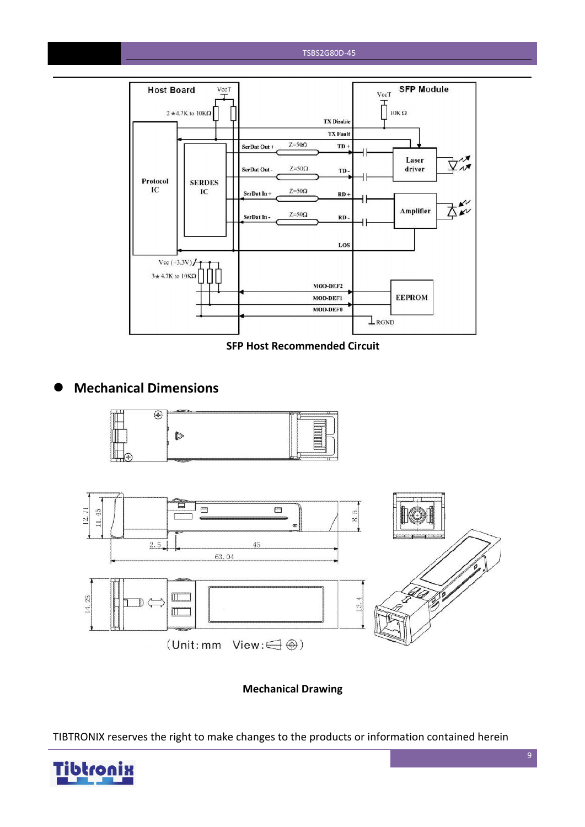#### TSBS2G80D-45



**SFP Host Recommended Circuit**

#### **Mechanical Dimensions**





**Mechanical Drawing**

TIBTRONIX reserves the right to make changes to the products or information contained herein